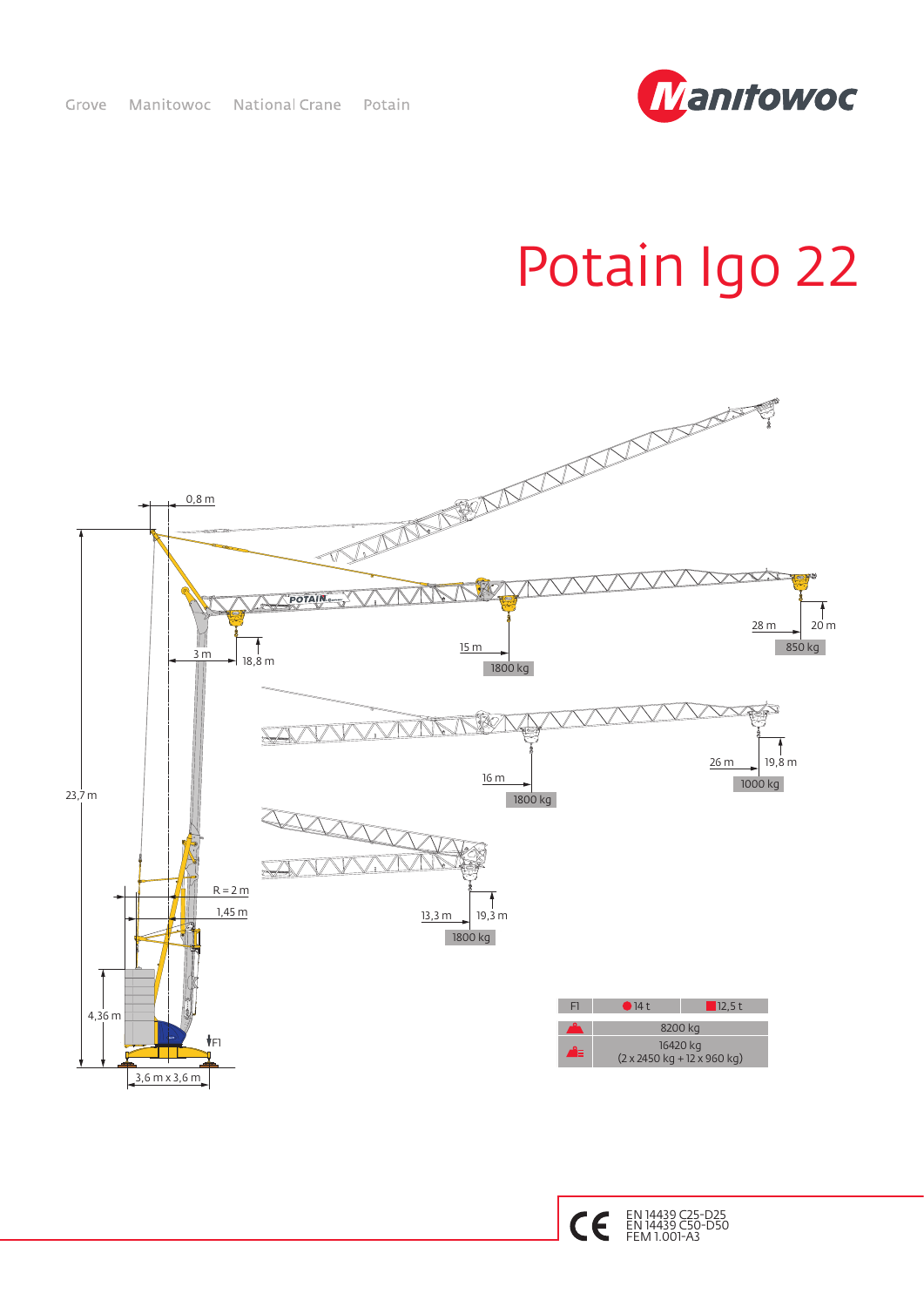

## Potain Igo 22



EN 14439 C25-D25 EN 14439 C50-D50 FEM 1.001-A3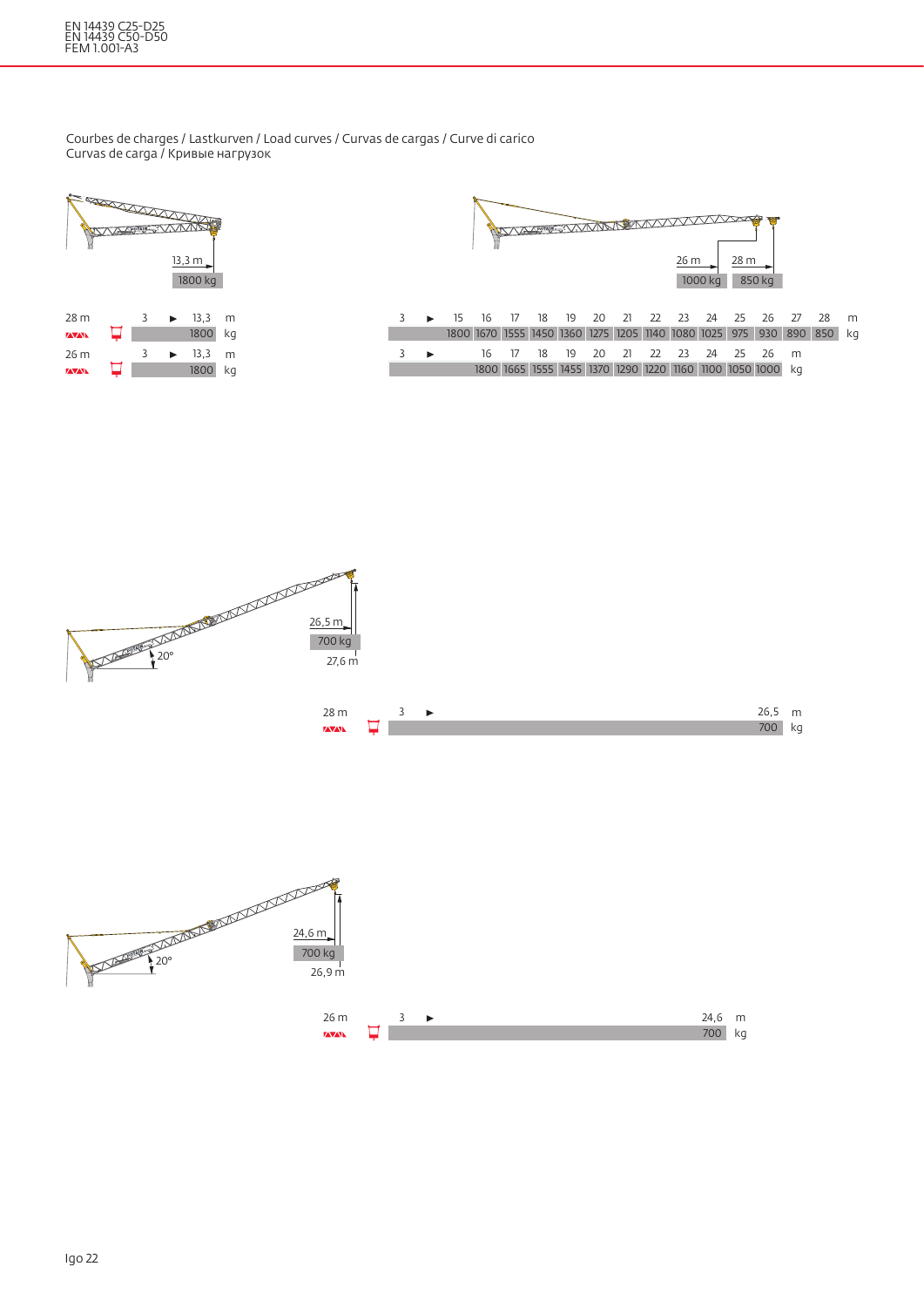## EN 14439 C25-D25 EN 14439 C50-D50 FEM 1.001-A3

Courbes de charges / Lastkurven / Load curves / Curvas de cargas / Curve di carico Curvas de carga / Кривые нагрузок

| <b>A REPORT OF THE REAL PROPERTY OF THE REAL PROPERTY OF THE REAL PROPERTY OF THE REAL PROPERTY OF THE REAL PROPERTY OF THE REAL PROPERTY OF THE REAL PROPERTY OF THE REAL PROPERTY OF THE RE</b> |  |                       | <b>TA APPLE STATIONAL</b><br>13,3 m<br>1800 kg |    |
|---------------------------------------------------------------------------------------------------------------------------------------------------------------------------------------------------|--|-----------------------|------------------------------------------------|----|
| 28 m                                                                                                                                                                                              |  |                       | $\blacktriangleright$ 13.3                     | m  |
| <b>ZAVANA</b>                                                                                                                                                                                     |  |                       | 1800                                           | kg |
| 26 m                                                                                                                                                                                              |  | $\blacktriangleright$ | 13,3                                           | m  |
| <b>ZAVANA</b>                                                                                                                                                                                     |  |                       | 1800                                           | kg |
|                                                                                                                                                                                                   |  |                       |                                                |    |



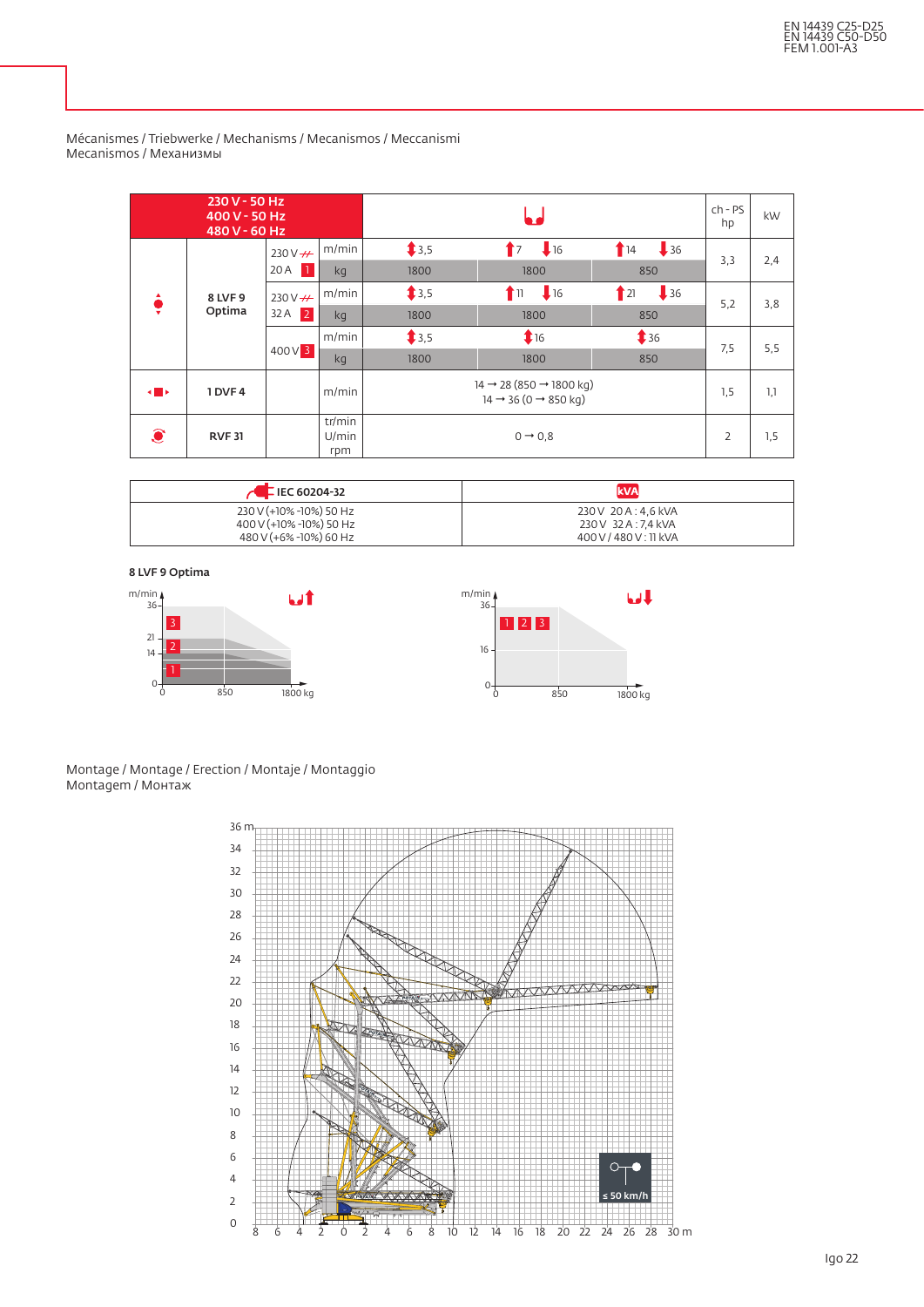|              | 230 V - 50 Hz<br>400 V - 50 Hz<br>480 V - 60 Hz |                      |                        |                                                       |                 |                        |     | kW  |
|--------------|-------------------------------------------------|----------------------|------------------------|-------------------------------------------------------|-----------------|------------------------|-----|-----|
|              |                                                 | $230V + 4$           | m/min                  | \$3,5                                                 | 16<br>$\bullet$ | 136<br>$\mathbf{r}$ 14 | 3,3 | 2,4 |
|              |                                                 | 20 A<br>$\mathbf{1}$ | kg                     | 1800                                                  | 1800            | 850                    |     |     |
|              | 8 LVF 9                                         | $230V + 4$           | m/min                  | \$3,5                                                 | 16<br>Γm        | 136<br>$\mid$ 21       | 5,2 | 3,8 |
| ÷            | Optima                                          | $32A$ 2              | kg                     | 1800                                                  | 1800            | 850                    |     |     |
|              |                                                 | $400V$ 3             | m/min                  | \$3,5                                                 | 16              | $\ddagger$ 36          | 7,5 | 5,5 |
|              |                                                 |                      | kg                     | 1800                                                  | 1800            | 850                    |     |     |
| $\leftarrow$ | 1 DVF4                                          |                      | m/min                  | $14 \rightarrow 28 (850 \rightarrow 1800 \text{ kg})$ | 1,5             | 1,1                    |     |     |
| $\bullet$    | <b>RVF31</b>                                    |                      | tr/min<br>U/min<br>rpm |                                                       | 2               | 1,5                    |     |     |

Mécanismes / Triebwerke / Mechanisms / Mecanismos / Meccanismi Mecanismos / Механизмы

| $\sim$ E IEC 60204-32   | <b>kVA</b>             |
|-------------------------|------------------------|
| 230 V (+10% -10%) 50 Hz | 230 V 20 A : 4.6 kVA   |
| 400 V (+10% -10%) 50 Hz | 230 V 32 A : 7.4 kVA   |
| 480 V (+6% -10%) 60 Hz  | 400 V / 480 V : 11 kVA |

8 LVF 9 Optima



Montage / Montage / Erection / Montaje / Montaggio Montagem / Монтаж